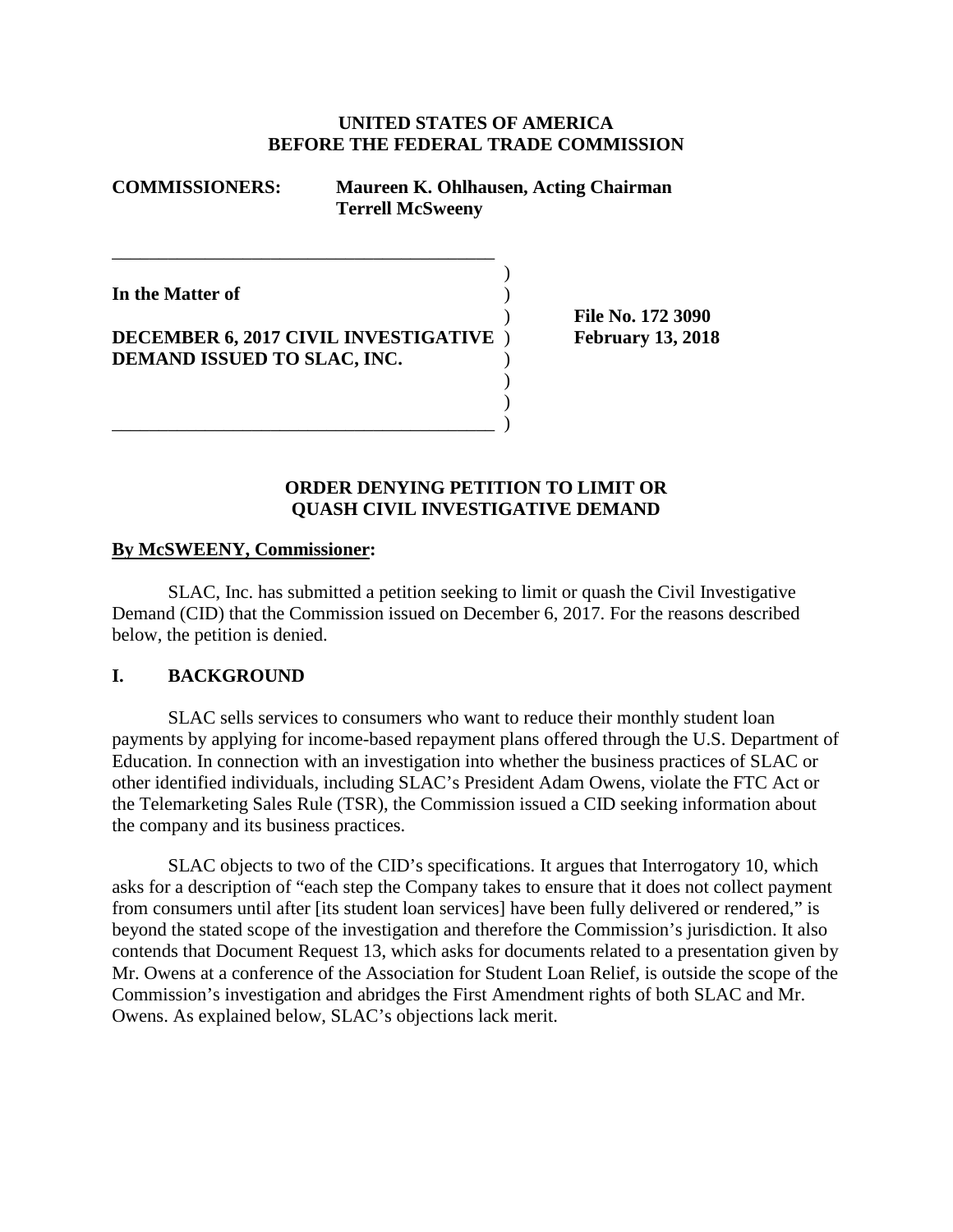### **UNITED STATES OF AMERICA BEFORE THE FEDERAL TRADE COMMISSION**

)

) )

## **COMMISSIONERS: Maureen K. Ohlhausen, Acting Chairman Terrell McSweeny**

**In the Matter of** )

# **DECEMBER 6, 2017 CIVIL INVESTIGATIVE** ) **February 13, 2018 DEMAND ISSUED TO SLAC, INC.** )

\_\_\_\_\_\_\_\_\_\_\_\_\_\_\_\_\_\_\_\_\_\_\_\_\_\_\_\_\_\_\_\_\_\_\_\_\_\_\_\_\_ )

\_\_\_\_\_\_\_\_\_\_\_\_\_\_\_\_\_\_\_\_\_\_\_\_\_\_\_\_\_\_\_\_\_\_\_\_\_\_\_\_\_

) **File No. 172 3090**

## **ORDER DENYING PETITION TO LIMIT OR QUASH CIVIL INVESTIGATIVE DEMAND**

### **By McSWEENY, Commissioner:**

SLAC, Inc. has submitted a petition seeking to limit or quash the Civil Investigative Demand (CID) that the Commission issued on December 6, 2017. For the reasons described below, the petition is denied.

#### **I. BACKGROUND**

SLAC sells services to consumers who want to reduce their monthly student loan payments by applying for income-based repayment plans offered through the U.S. Department of Education. In connection with an investigation into whether the business practices of SLAC or other identified individuals, including SLAC's President Adam Owens, violate the FTC Act or the Telemarketing Sales Rule (TSR), the Commission issued a CID seeking information about the company and its business practices.

SLAC objects to two of the CID's specifications. It argues that Interrogatory 10, which asks for a description of "each step the Company takes to ensure that it does not collect payment from consumers until after [its student loan services] have been fully delivered or rendered," is beyond the stated scope of the investigation and therefore the Commission's jurisdiction. It also contends that Document Request 13, which asks for documents related to a presentation given by Mr. Owens at a conference of the Association for Student Loan Relief, is outside the scope of the Commission's investigation and abridges the First Amendment rights of both SLAC and Mr. Owens. As explained below, SLAC's objections lack merit.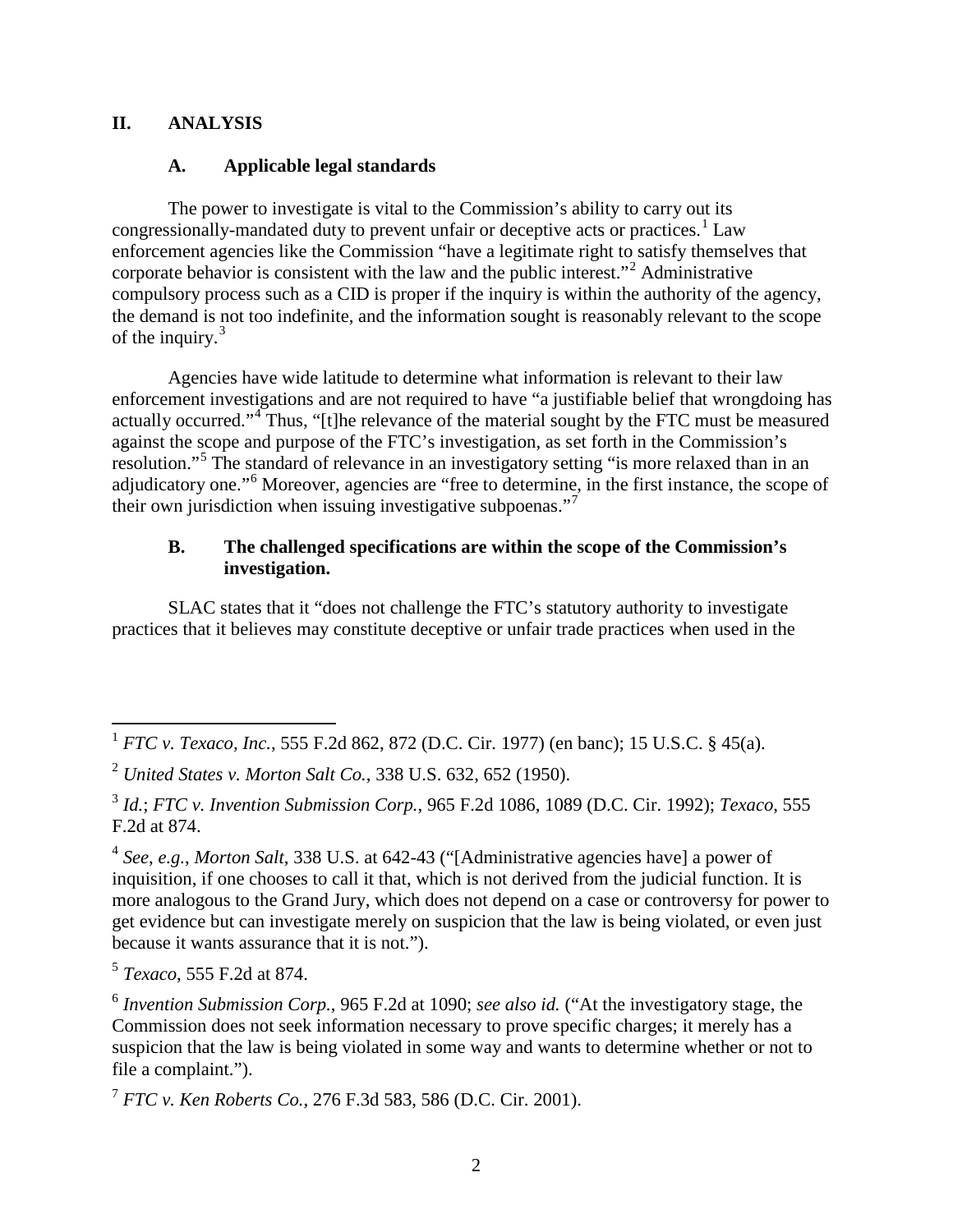## **II. ANALYSIS**

## **A. Applicable legal standards**

The power to investigate is vital to the Commission's ability to carry out its congressionally-mandated duty to prevent unfair or deceptive acts or practices.<sup>[1](#page-1-0)</sup> Law enforcement agencies like the Commission "have a legitimate right to satisfy themselves that corporate behavior is consistent with the law and the public interest."[2](#page-1-1) Administrative compulsory process such as a CID is proper if the inquiry is within the authority of the agency, the demand is not too indefinite, and the information sought is reasonably relevant to the scope of the inquiry.<sup>[3](#page-1-2)</sup>

Agencies have wide latitude to determine what information is relevant to their law enforcement investigations and are not required to have "a justifiable belief that wrongdoing has actually occurred."<sup>[4](#page-1-3)</sup> Thus, "[t]he relevance of the material sought by the FTC must be measured against the scope and purpose of the FTC's investigation, as set forth in the Commission's resolution."[5](#page-1-4) The standard of relevance in an investigatory setting "is more relaxed than in an adjudicatory one."[6](#page-1-5) Moreover, agencies are "free to determine, in the first instance, the scope of their own jurisdiction when issuing investigative subpoenas."<sup>[7](#page-1-6)</sup>

## **B. The challenged specifications are within the scope of the Commission's investigation.**

SLAC states that it "does not challenge the FTC's statutory authority to investigate practices that it believes may constitute deceptive or unfair trade practices when used in the

<span id="page-1-4"></span><sup>5</sup> *Texaco*, 555 F.2d at 874.

<span id="page-1-0"></span> <sup>1</sup> *FTC v. Texaco, Inc.*, 555 F.2d 862, 872 (D.C. Cir. 1977) (en banc); 15 U.S.C. § 45(a).

<span id="page-1-1"></span><sup>2</sup> *United States v. Morton Salt Co.*, 338 U.S. 632, 652 (1950).

<span id="page-1-2"></span><sup>3</sup> *Id.*; *FTC v. Invention Submission Corp.*, 965 F.2d 1086, 1089 (D.C. Cir. 1992); *Texaco*, 555 F.2d at 874.

<span id="page-1-3"></span><sup>4</sup> *See*, *e.g.*, *Morton Salt*, 338 U.S. at 642-43 ("[Administrative agencies have] a power of inquisition, if one chooses to call it that, which is not derived from the judicial function. It is more analogous to the Grand Jury, which does not depend on a case or controversy for power to get evidence but can investigate merely on suspicion that the law is being violated, or even just because it wants assurance that it is not.").

<span id="page-1-5"></span><sup>6</sup> *Invention Submission Corp.*, 965 F.2d at 1090; *see also id.* ("At the investigatory stage, the Commission does not seek information necessary to prove specific charges; it merely has a suspicion that the law is being violated in some way and wants to determine whether or not to file a complaint.").

<span id="page-1-6"></span><sup>7</sup> *FTC v. Ken Roberts Co.*, 276 F.3d 583, 586 (D.C. Cir. 2001).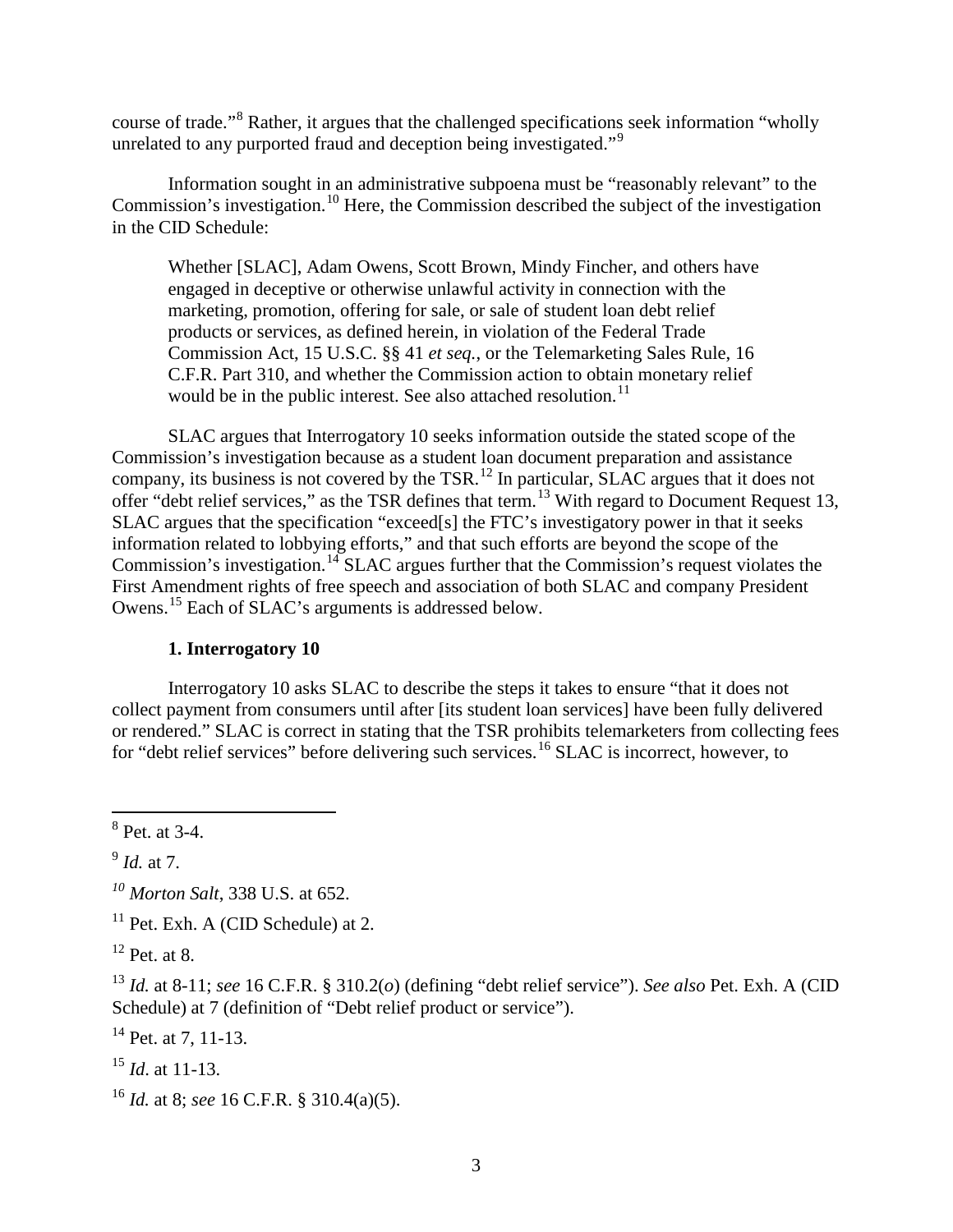course of trade."[8](#page-2-0) Rather, it argues that the challenged specifications seek information "wholly unrelated to any purported fraud and deception being investigated."<sup>[9](#page-2-1)</sup>

Information sought in an administrative subpoena must be "reasonably relevant" to the Commission's investigation.<sup>[10](#page-2-2)</sup> Here, the Commission described the subject of the investigation in the CID Schedule:

Whether [SLAC], Adam Owens, Scott Brown, Mindy Fincher, and others have engaged in deceptive or otherwise unlawful activity in connection with the marketing, promotion, offering for sale, or sale of student loan debt relief products or services, as defined herein, in violation of the Federal Trade Commission Act, 15 U.S.C. §§ 41 *et seq.*, or the Telemarketing Sales Rule, 16 C.F.R. Part 310, and whether the Commission action to obtain monetary relief would be in the public interest. See also attached resolution.<sup>[11](#page-2-3)</sup>

SLAC argues that Interrogatory 10 seeks information outside the stated scope of the Commission's investigation because as a student loan document preparation and assistance company, its business is not covered by the TSR.<sup>[12](#page-2-4)</sup> In particular, SLAC argues that it does not offer "debt relief services," as the TSR defines that term.[13](#page-2-5) With regard to Document Request 13, SLAC argues that the specification "exceed[s] the FTC's investigatory power in that it seeks information related to lobbying efforts," and that such efforts are beyond the scope of the Commission's investigation.<sup>[14](#page-2-6)</sup> SLAC argues further that the Commission's request violates the First Amendment rights of free speech and association of both SLAC and company President Owens.<sup>[15](#page-2-7)</sup> Each of SLAC's arguments is addressed below.

### **1. Interrogatory 10**

Interrogatory 10 asks SLAC to describe the steps it takes to ensure "that it does not collect payment from consumers until after [its student loan services] have been fully delivered or rendered." SLAC is correct in stating that the TSR prohibits telemarketers from collecting fees for "debt relief services" before delivering such services.<sup>[16](#page-2-8)</sup> SLAC is incorrect, however, to

<span id="page-2-7"></span><sup>15</sup> *Id*. at 11-13.

<span id="page-2-0"></span> <sup>8</sup> Pet. at 3-4.

<span id="page-2-1"></span><sup>9</sup> *Id.* at 7.

<span id="page-2-2"></span>*<sup>10</sup> Morton Salt*, 338 U.S. at 652.

<span id="page-2-3"></span> $11$  Pet. Exh. A (CID Schedule) at 2.

<span id="page-2-4"></span> $12$  Pet. at 8.

<span id="page-2-5"></span><sup>13</sup> *Id.* at 8-11; *see* 16 C.F.R. § 310.2(*o*) (defining "debt relief service"). *See also* Pet. Exh. A (CID Schedule) at 7 (definition of "Debt relief product or service").

<span id="page-2-6"></span> $14$  Pet. at 7, 11-13.

<span id="page-2-8"></span><sup>16</sup> *Id.* at 8; *see* 16 C.F.R. § 310.4(a)(5).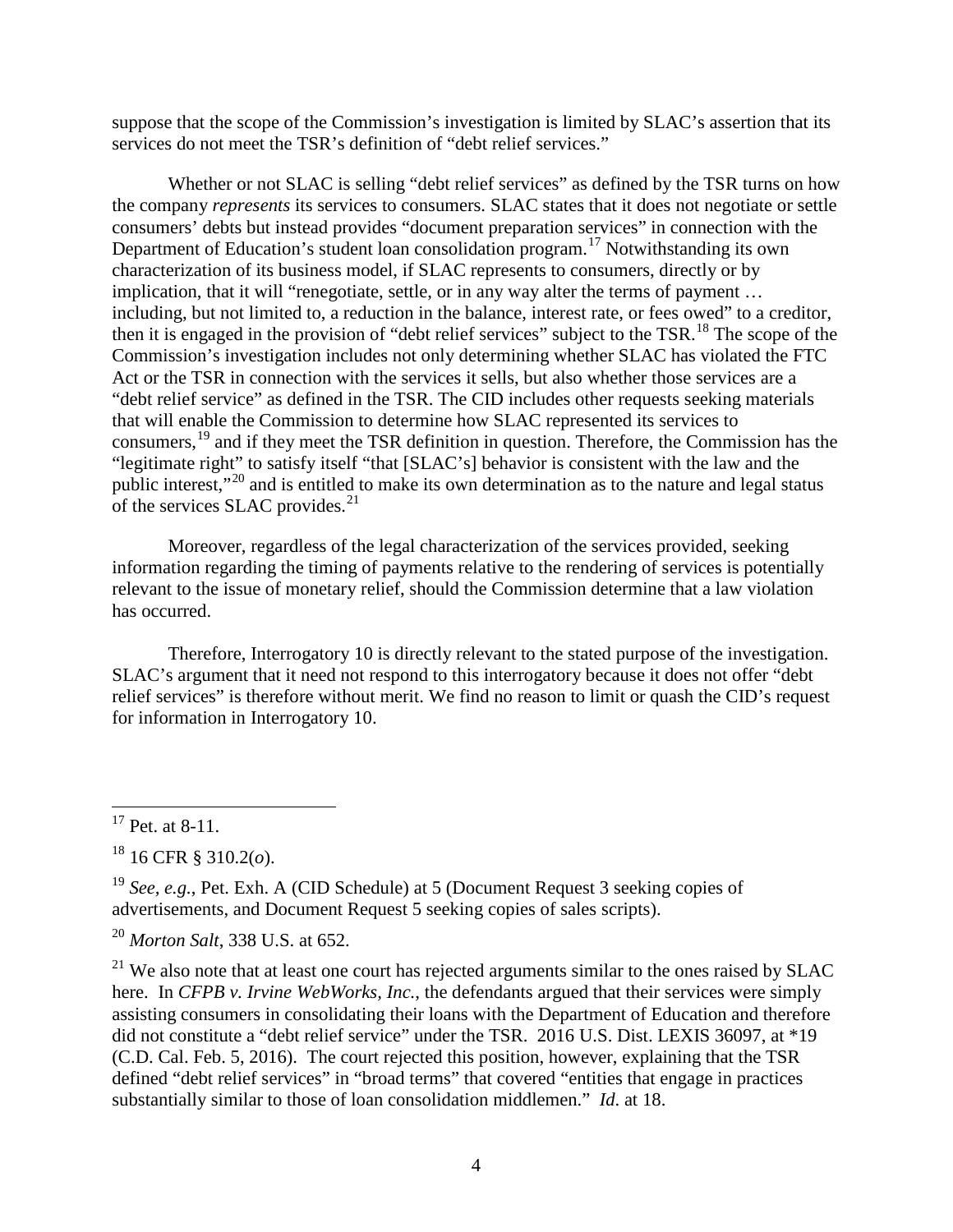suppose that the scope of the Commission's investigation is limited by SLAC's assertion that its services do not meet the TSR's definition of "debt relief services."

Whether or not SLAC is selling "debt relief services" as defined by the TSR turns on how the company *represents* its services to consumers. SLAC states that it does not negotiate or settle consumers' debts but instead provides "document preparation services" in connection with the Department of Education's student loan consolidation program.[17](#page-3-0) Notwithstanding its own characterization of its business model, if SLAC represents to consumers, directly or by implication, that it will "renegotiate, settle, or in any way alter the terms of payment … including, but not limited to, a reduction in the balance, interest rate, or fees owed" to a creditor, then it is engaged in the provision of "debt relief services" subject to the TSR.<sup>[18](#page-3-1)</sup> The scope of the Commission's investigation includes not only determining whether SLAC has violated the FTC Act or the TSR in connection with the services it sells, but also whether those services are a "debt relief service" as defined in the TSR. The CID includes other requests seeking materials that will enable the Commission to determine how SLAC represented its services to consumers,<sup>[19](#page-3-2)</sup> and if they meet the TSR definition in question. Therefore, the Commission has the "legitimate right" to satisfy itself "that [SLAC's] behavior is consistent with the law and the public interest,"[20](#page-3-3) and is entitled to make its own determination as to the nature and legal status of the services SLAC provides. $^{21}$  $^{21}$  $^{21}$ 

Moreover, regardless of the legal characterization of the services provided, seeking information regarding the timing of payments relative to the rendering of services is potentially relevant to the issue of monetary relief, should the Commission determine that a law violation has occurred.

Therefore, Interrogatory 10 is directly relevant to the stated purpose of the investigation. SLAC's argument that it need not respond to this interrogatory because it does not offer "debt relief services" is therefore without merit. We find no reason to limit or quash the CID's request for information in Interrogatory 10.

<span id="page-3-0"></span> $17$  Pet. at 8-11.

<span id="page-3-1"></span><sup>18</sup> 16 CFR § 310.2(*o*).

<span id="page-3-2"></span><sup>19</sup> *See, e.g.*, Pet. Exh. A (CID Schedule) at 5 (Document Request 3 seeking copies of advertisements, and Document Request 5 seeking copies of sales scripts).

<span id="page-3-3"></span><sup>20</sup> *Morton Salt*, 338 U.S. at 652.

<span id="page-3-4"></span> $21$  We also note that at least one court has rejected arguments similar to the ones raised by SLAC here. In *CFPB v. Irvine WebWorks, Inc.*, the defendants argued that their services were simply assisting consumers in consolidating their loans with the Department of Education and therefore did not constitute a "debt relief service" under the TSR. 2016 U.S. Dist. LEXIS 36097, at \*19 (C.D. Cal. Feb. 5, 2016). The court rejected this position, however, explaining that the TSR defined "debt relief services" in "broad terms" that covered "entities that engage in practices substantially similar to those of loan consolidation middlemen." *Id*. at 18.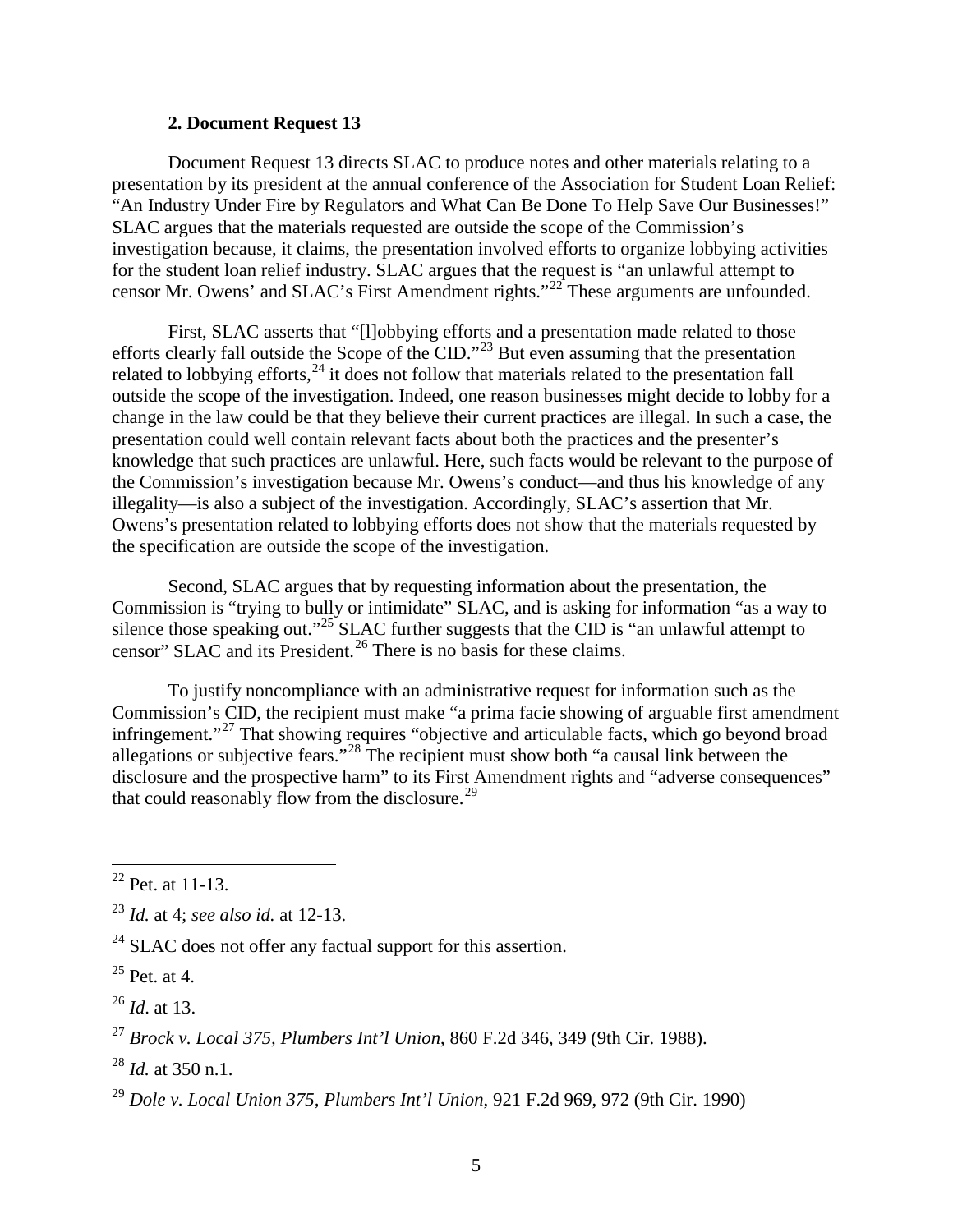#### **2. Document Request 13**

Document Request 13 directs SLAC to produce notes and other materials relating to a presentation by its president at the annual conference of the Association for Student Loan Relief: "An Industry Under Fire by Regulators and What Can Be Done To Help Save Our Businesses!" SLAC argues that the materials requested are outside the scope of the Commission's investigation because, it claims, the presentation involved efforts to organize lobbying activities for the student loan relief industry. SLAC argues that the request is "an unlawful attempt to censor Mr. Owens' and SLAC's First Amendment rights."[22](#page-4-0) These arguments are unfounded.

First, SLAC asserts that "[l]obbying efforts and a presentation made related to those efforts clearly fall outside the Scope of the CID."[23](#page-4-1) But even assuming that the presentation related to lobbying efforts, $^{24}$  $^{24}$  $^{24}$  it does not follow that materials related to the presentation fall outside the scope of the investigation. Indeed, one reason businesses might decide to lobby for a change in the law could be that they believe their current practices are illegal. In such a case, the presentation could well contain relevant facts about both the practices and the presenter's knowledge that such practices are unlawful. Here, such facts would be relevant to the purpose of the Commission's investigation because Mr. Owens's conduct—and thus his knowledge of any illegality—is also a subject of the investigation. Accordingly, SLAC's assertion that Mr. Owens's presentation related to lobbying efforts does not show that the materials requested by the specification are outside the scope of the investigation.

Second, SLAC argues that by requesting information about the presentation, the Commission is "trying to bully or intimidate" SLAC, and is asking for information "as a way to silence those speaking out."<sup>[25](#page-4-3)</sup> SLAC further suggests that the CID is "an unlawful attempt to censor" SLAC and its President.<sup>[26](#page-4-4)</sup> There is no basis for these claims.

To justify noncompliance with an administrative request for information such as the Commission's CID, the recipient must make "a prima facie showing of arguable first amendment infringement."[27](#page-4-5) That showing requires "objective and articulable facts, which go beyond broad allegations or subjective fears."[28](#page-4-6) The recipient must show both "a causal link between the disclosure and the prospective harm" to its First Amendment rights and "adverse consequences" that could reasonably flow from the disclosure.<sup>[29](#page-4-7)</sup>

<span id="page-4-0"></span> $22$  Pet. at 11-13.

<span id="page-4-1"></span><sup>23</sup> *Id.* at 4; *see also id.* at 12-13.

<span id="page-4-2"></span> $24$  SLAC does not offer any factual support for this assertion.

<span id="page-4-3"></span> $^{25}$  Pet. at 4.

<span id="page-4-4"></span><sup>26</sup> *Id*. at 13.

<span id="page-4-5"></span><sup>27</sup> *Brock v. Local 375, Plumbers Int'l Union*, 860 F.2d 346, 349 (9th Cir. 1988).

<span id="page-4-6"></span><sup>28</sup> *Id.* at 350 n.1.

<span id="page-4-7"></span><sup>29</sup> *Dole v. Local Union 375, Plumbers Int'l Union*, 921 F.2d 969, 972 (9th Cir. 1990)